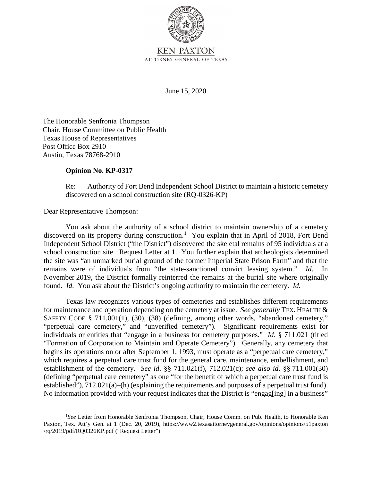

ATTORNEY GENERAL OF TEXAS

June 15, 2020

The Honorable Senfronia Thompson Chair, House Committee on Public Health Texas House of Representatives Post Office Box 2910 Austin, Texas 78768-2910

## **Opinion No. KP-0317**

Re: Authority of Fort Bend Independent School District to maintain a historic cemetery discovered on a school construction site (RQ-0326-KP)

Dear Representative Thompson:

 Independent School District ("the District") discovered the skeletal remains of 95 individuals at a remains were of individuals from "the state-sanctioned convict leasing system." *Id*. In November 2019, the District formally reinterred the remains at the burial site where originally You ask about the authority of a school district to maintain ownership of a cemetery discovered on its property during construction.<sup>1</sup> You explain that in April of 2018, Fort Bend school construction site. Request Letter at 1. You further explain that archeologists determined the site was "an unmarked burial ground of the former Imperial State Prison Farm" and that the found. *Id*. You ask about the District's ongoing authority to maintain the cemetery. *Id.* 

 individuals or entities that "engage in a business for cemetery purposes." *Id*. § 711.021 (titled "Formation of Corporation to Maintain and Operate Cemetery"). Generally, any cemetery that establishment of the cemetery. *See id*. §§ 711.021(f), 712.021(c); *see also id*. §§ 711.001(30) Texas law recognizes various types of cemeteries and establishes different requirements for maintenance and operation depending on the cemetery at issue. *See generally* TEX. HEALTH & SAFETY CODE § 711.001(1), (30), (38) (defining, among other words, "abandoned cemetery," "perpetual care cemetery," and "unverified cemetery"). Significant requirements exist for begins its operations on or after September 1, 1993, must operate as a "perpetual care cemetery," which requires a perpetual care trust fund for the general care, maintenance, embellishment, and (defining "perpetual care cemetery" as one "for the benefit of which a perpetual care trust fund is established"),  $712.021(a)$ —(h) (explaining the requirements and purposes of a perpetual trust fund). No information provided with your request indicates that the District is "engag[ing] in a business"

 Paxton, Tex. Att'y Gen. at 1 (Dec. 20, 2019), https://www2.texasattorneygeneral.gov/opinions/opinions/51paxton <sup>1</sup>See Letter from Honorable Senfronia Thompson, Chair, House Comm. on Pub. Health, to Honorable Ken /rq/2019/pdf/RQ0326KP.pdf ("Request Letter").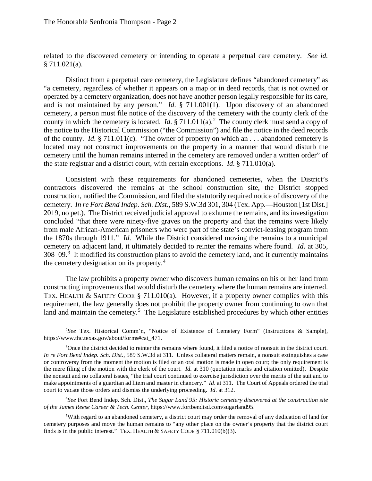related to the discovered cemetery or intending to operate a perpetual care cemetery. *See id.*  § 711.021(a).

 operated by a cemetery organization, does not have another person legally responsible for its care, and is not maintained by any person." *Id*. § 711.001(1). Upon discovery of an abandoned cemetery, a person must file notice of the discovery of the cemetery with the county clerk of the of the county. *Id*. § 711.011(c). "The owner of property on which an . . . abandoned cemetery is the state registrar and a district court, with certain exceptions. *Id*. § 711.010(a). Distinct from a perpetual care cemetery, the Legislature defines "abandoned cemetery" as "a cemetery, regardless of whether it appears on a map or in deed records, that is not owned or county in which the cemetery is located. *Id*. § 711.011(a). 2 The county clerk must send a copy of the notice to the Historical Commission ("the Commission") and file the notice in the deed records located may not construct improvements on the property in a manner that would disturb the cemetery until the human remains interred in the cemetery are removed under a written order" of

 cemetery. *In re Fort Bend Indep. Sch. Dist*., 589 S.W.3d 301, 304 (Tex. App.—Houston [1st Dist.] the 1870s through 1911." *Id*. While the District considered moving the remains to a municipal cemetery on adjacent land, it ultimately decided to reinter the remains where found. *Id*. at 305,  $308-09$ <sup>3</sup>. It modified its construction plans to avoid the cemetery land, and it currently maintains the cemetery designation on its property.<sup>4</sup> Consistent with these requirements for abandoned cemeteries, when the District's contractors discovered the remains at the school construction site, the District stopped construction, notified the Commission, and filed the statutorily required notice of discovery of the 2019, no pet.). The District received judicial approval to exhume the remains, and its investigation concluded "that there were ninety-five graves on the property and that the remains were likely from male African-American prisoners who were part of the state's convict-leasing program from

 requirement, the law generally does not prohibit the property owner from continuing to own that land and maintain the cemetery.<sup>5</sup> The Legislature established procedures by which other entities The law prohibits a property owner who discovers human remains on his or her land from constructing improvements that would disturb the cemetery where the human remains are interred. TEX. HEALTH & SAFETY CODE § 711.010(a). However, if a property owner complies with this

 2 *See* Tex. Historical Comm'n, "Notice of Existence of Cemetery Form" (Instructions & Sample), https://www.thc.texas.gov/about/forms#cat\_471.

<sup>&</sup>lt;sup>3</sup>Once the district decided to reinter the remains where found, it filed a notice of nonsuit in the district court. *In re Fort Bend Indep. Sch. Dist.*, 589 S.W.3d at 311. Unless collateral matters remain, a nonsuit extinguishes a case or controversy from the moment the motion is filed or an oral motion is made in open court; the only requirement is the mere filing of the motion with the clerk of the court. *Id*. at 310 (quotation marks and citation omitted). Despite make appointments of a guardian ad litem and master in chancery." *Id*. at 311. The Court of Appeals ordered the trial court to vacate those orders and dismiss the underlying proceeding. *Id*. at 312. the nonsuit and no collateral issues, "the trial court continued to exercise jurisdiction over the merits of the suit and to

 *of the James Reese Career & Tech. Center*, https://www.fortbendisd.com/sugarland95. 4 *See* Fort Bend Indep. Sch. Dist., *The Sugar Land 95: Historic cemetery discovered at the construction site* 

<sup>&</sup>lt;sup>5</sup>With regard to an abandoned cemetery, a district court may order the removal of any dedication of land for finds is in the public interest." TEX. HEALTH  $&$  SAFETY CODE  $$711.010(b)(3)$ . cemetery purposes and move the human remains to "any other place on the owner's property that the district court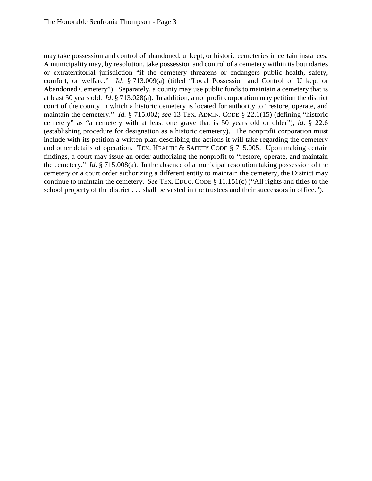A municipality may, by resolution, take possession and control of a cemetery within its boundaries Abandoned Cemetery"). Separately, a county may use public funds to maintain a cemetery that is court of the county in which a historic cemetery is located for authority to "restore, operate, and maintain the cemetery." *Id.* § 715.002; *see* 13 TEX. ADMIN. CODE § 22.1(15) (defining "historic the cemetery." *Id*. § 715.008(a). In the absence of a municipal resolution taking possession of the continue to maintain the cemetery. *See* TEX. EDUC. CODE § 11.151(c) ("All rights and titles to the may take possession and control of abandoned, unkept, or historic cemeteries in certain instances. or extraterritorial jurisdiction "if the cemetery threatens or endangers public health, safety, comfort, or welfare." *Id*. § 713.009(a) (titled "Local Possession and Control of Unkept or at least 50 years old. *Id*. § 713.028(a). In addition, a nonprofit corporation may petition the district cemetery" as "a cemetery with at least one grave that is 50 years old or older"), *id*. § 22.6 (establishing procedure for designation as a historic cemetery). The nonprofit corporation must include with its petition a written plan describing the actions it will take regarding the cemetery and other details of operation. TEX. HEALTH & SAFETY CODE § 715.005. Upon making certain findings, a court may issue an order authorizing the nonprofit to "restore, operate, and maintain cemetery or a court order authorizing a different entity to maintain the cemetery, the District may school property of the district . . . shall be vested in the trustees and their successors in office.").